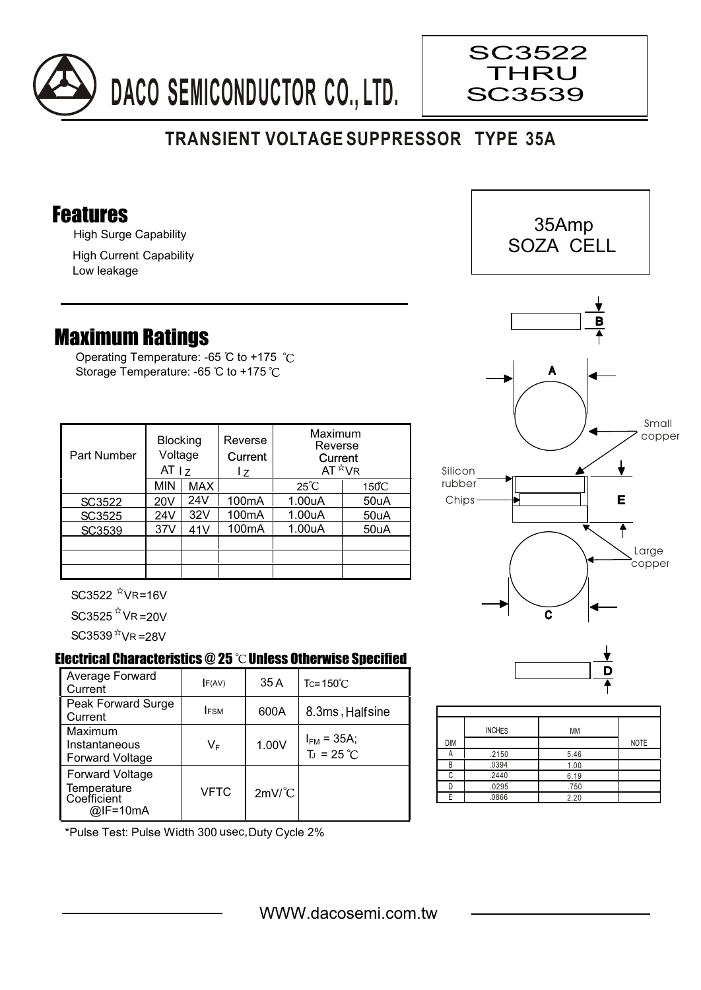

## **TRANSIENT VOLTAGE SUPPRESSOR TYPE 35A**

## Features

High Surge Capability

High Current Capability Low leakage

## Maximum Ratings

Operating Temperature: -65 °C to +175 °C Storage Temperature: -65 °C to +175 °C

| Part Number | <b>Blocking</b><br>Voltage<br>AT <sub>17</sub> |     | Reverse<br>Current<br>l z | Maximum<br>Reverse<br>Current<br>$AT^{\star}VR$ |                 |
|-------------|------------------------------------------------|-----|---------------------------|-------------------------------------------------|-----------------|
|             | <b>MIN</b>                                     | MAX |                           | $25^{\circ}C$                                   | $150^{\circ}$ C |
| SC3522      | 20V                                            | 24V | 100 <sub>m</sub> A        | 1.00uA                                          | 50uA            |
| SC3525      | 24V                                            | 32V | 100 <sub>m</sub> A        | 1.00uA                                          | 50uA            |
| SC3539      | 37V                                            | 41V | 100 <sub>m</sub> A        | 1.00uA                                          | 50uA            |
|             |                                                |     |                           |                                                 |                 |
|             |                                                |     |                           |                                                 |                 |
|             |                                                |     |                           |                                                 |                 |

 $SC3522$   $N$ VR=16V

 $SC3525$   $N$  VR = 20V

 $SC3539<sup>7x</sup>$ VR =28V

## Electrical Characteristics  $@25$   $^{\circ}\text{C}$  Unless Otherwise Specified

| Average Forward<br>Current                                       | F(AV)       | 35 A                 | $Tc = 150^{\circ}$ C                   |  |
|------------------------------------------------------------------|-------------|----------------------|----------------------------------------|--|
| Peak Forward Surge<br>Current                                    | <b>IFSM</b> | 600A                 | 8.3ms, Halfsine                        |  |
| Maximum<br>Instantaneous<br><b>Forward Voltage</b>               | VF          | 1.00V                | $I_{FM}$ = 35A;<br>$T_J = 25^{\circ}C$ |  |
| <b>Forward Voltage</b><br>Temperature<br>Coefficient<br>@IF=10mA | <b>VFTC</b> | $2mV$ <sup>°</sup> C |                                        |  |





SC3522 THRU SC3539





|            | <b>INCHES</b> | MM   |             |
|------------|---------------|------|-------------|
| <b>DIM</b> |               |      | <b>NOTE</b> |
|            | .2150         | 5.46 |             |
| B          | .0394         | 1.00 |             |
|            | .2440         | 6.19 |             |
|            | .0295         | .750 |             |
|            | .0866         | 2.20 |             |